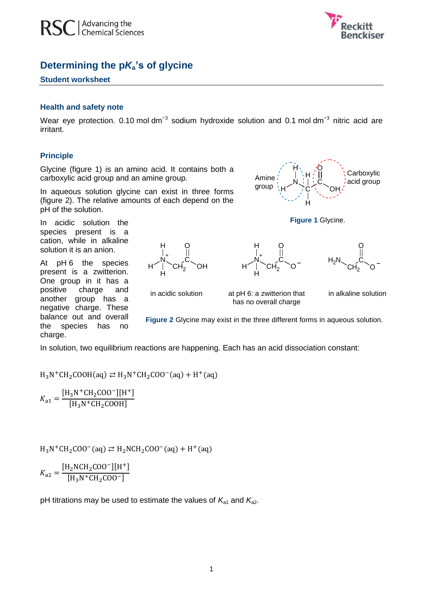



# **Determining the p***K***a's of glycine**

### **Student worksheet**

#### **Health and safety note**

Wear eye protection. 0.10 mol dm<sup>-3</sup> sodium hydroxide solution and 0.1 mol dm<sup>-3</sup> nitric acid are irritant.

## **Principle**

Glycine (figure 1) is an amino acid. It contains both a carboxylic acid group and an amine group.

In aqueous solution glycine can exist in three forms (figure 2). The relative amounts of each depend on the pH of the solution.

In acidic solution the species present is a cation, while in alkaline solution it is an anion.

At pH 6 the species present is a zwitterion. One group in it has a positive charge and another group has a negative charge. These balance out and overall the species has no charge.



in acidic solution at pH 6: a zwitterion that has no overall charge

 $H'$   $\Big\vert$   $\Big\vert$   $CH_2$   $\Big\vert$   $O^-$ 

N +

H

H

C O

−

in alkaline solution

C

 $CH<sub>2</sub>$  O

−

O

**Figure 2** Glycine may exist in the three different forms in aqueous solution.

In solution, two equilibrium reactions are happening. Each has an acid dissociation constant:

 $H_3N^+CH_2COOH(aq) \rightleftarrows H_3N^+CH_2COO^-(aq) + H^+$ 

 $K_{\overline{a}}$  $[H_3N^+CH_2COO^-][H^+]$ ſ

 $H_3N^+CH_2COO^-(aq) \rightleftarrows H_2NCH_2COO^-(aq) + H^+$ 

$$
K_{a2} = \frac{[H_2NCH_2COO^-][H^+]}{[H_3N^+CH_2COO^-]}
$$

pH titrations may be used to estimate the values of  $K_{a1}$  and  $K_{a2}$ .



**Figure 1** Glycine.

 $H<sub>2</sub>I$ 



1